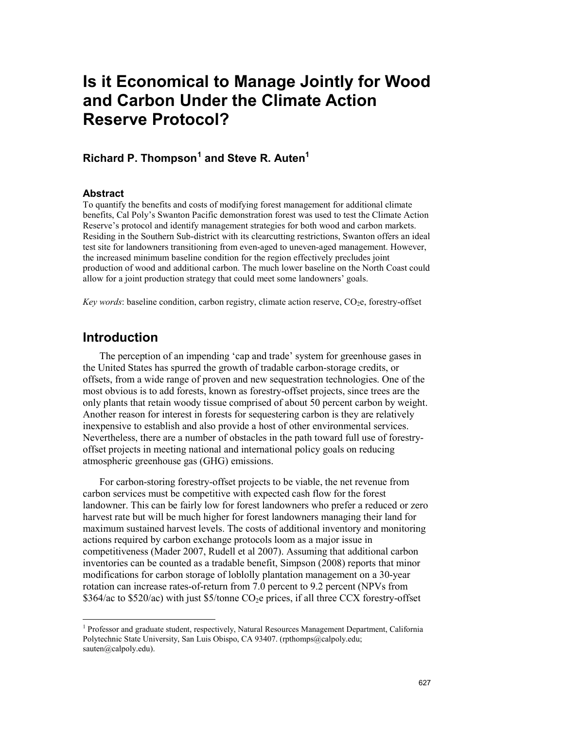#### **Richard P. Thompson[1](#page-0-0) and Steve R. Auten1**

#### **Abstract**

To quantify the benefits and costs of modifying forest management for additional climate benefits, Cal Poly's Swanton Pacific demonstration forest was used to test the Climate Action Reserve's protocol and identify management strategies for both wood and carbon markets. Residing in the Southern Sub-district with its clearcutting restrictions, Swanton offers an ideal test site for landowners transitioning from even-aged to uneven-aged management. However, the increased minimum baseline condition for the region effectively precludes joint production of wood and additional carbon. The much lower baseline on the North Coast could allow for a joint production strategy that could meet some landowners' goals.

*Key words*: baseline condition, carbon registry, climate action reserve, CO<sub>2</sub>e, forestry-offset

#### **Introduction**

The perception of an impending 'cap and trade' system for greenhouse gases in the United States has spurred the growth of tradable carbon-storage credits, or offsets, from a wide range of proven and new sequestration technologies. One of the most obvious is to add forests, known as forestry-offset projects, since trees are the only plants that retain woody tissue comprised of about 50 percent carbon by weight. Another reason for interest in forests for sequestering carbon is they are relatively inexpensive to establish and also provide a host of other environmental services. Nevertheless, there are a number of obstacles in the path toward full use of forestryoffset projects in meeting national and international policy goals on reducing atmospheric greenhouse gas (GHG) emissions.

For carbon-storing forestry-offset projects to be viable, the net revenue from carbon services must be competitive with expected cash flow for the forest landowner. This can be fairly low for forest landowners who prefer a reduced or zero harvest rate but will be much higher for forest landowners managing their land for maximum sustained harvest levels. The costs of additional inventory and monitoring actions required by carbon exchange protocols loom as a major issue in competitiveness (Mader 2007, Rudell et al 2007). Assuming that additional carbon inventories can be counted as a tradable benefit, Simpson (2008) reports that minor modifications for carbon storage of loblolly plantation management on a 30-year rotation can increase rates-of-return from 7.0 percent to 9.2 percent (NPVs from  $$364/ac$  to  $$520/ac)$  with just  $$5/tonne$  CO<sub>2</sub>e prices, if all three CCX forestry-offset

<span id="page-0-0"></span><sup>&</sup>lt;sup>1</sup> Professor and graduate student, respectively, Natural Resources Management Department, California Polytechnic State University, San Luis Obispo, CA 93407. (rpthomps@calpoly.edu; sauten@calpoly.edu).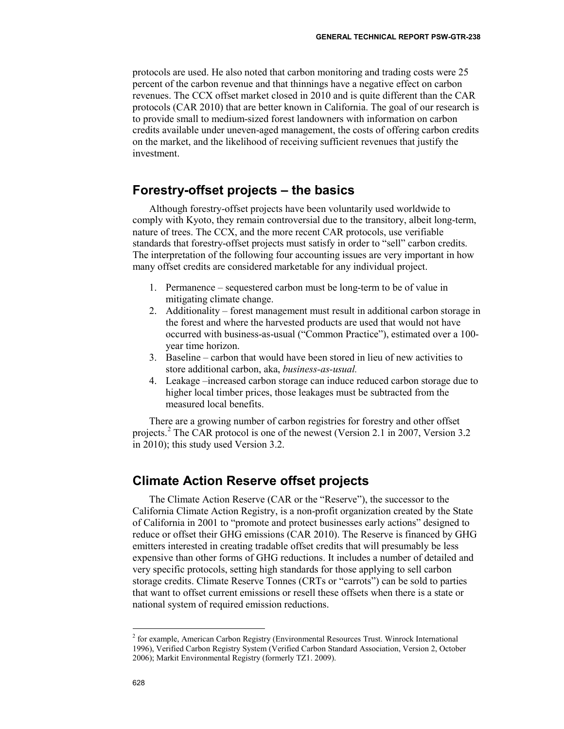protocols are used. He also noted that carbon monitoring and trading costs were 25 percent of the carbon revenue and that thinnings have a negative effect on carbon revenues. The CCX offset market closed in 2010 and is quite different than the CAR protocols (CAR 2010) that are better known in California. The goal of our research is to provide small to medium-sized forest landowners with information on carbon credits available under uneven-aged management, the costs of offering carbon credits on the market, and the likelihood of receiving sufficient revenues that justify the investment.

### **Forestry-offset projects – the basics**

Although forestry-offset projects have been voluntarily used worldwide to comply with Kyoto, they remain controversial due to the transitory, albeit long-term, nature of trees. The CCX, and the more recent CAR protocols, use verifiable standards that forestry-offset projects must satisfy in order to "sell" carbon credits. The interpretation of the following four accounting issues are very important in how many offset credits are considered marketable for any individual project.

- 1. Permanence sequestered carbon must be long-term to be of value in mitigating climate change.
- 2. Additionality forest management must result in additional carbon storage in the forest and where the harvested products are used that would not have occurred with business-as-usual ("Common Practice"), estimated over a 100 year time horizon.
- 3. Baseline carbon that would have been stored in lieu of new activities to store additional carbon, aka, *business-as-usual.*
- 4. Leakage –increased carbon storage can induce reduced carbon storage due to higher local timber prices, those leakages must be subtracted from the measured local benefits.

There are a growing number of carbon registries for forestry and other offset projects.[2](#page-1-0) The CAR protocol is one of the newest (Version 2.1 in 2007, Version 3.2 in 2010); this study used Version 3.2.

# **Climate Action Reserve offset projects**

The Climate Action Reserve (CAR or the "Reserve"), the successor to the California Climate Action Registry, is a non-profit organization created by the State of California in 2001 to "promote and protect businesses early actions" designed to reduce or offset their GHG emissions (CAR 2010). The Reserve is financed by GHG emitters interested in creating tradable offset credits that will presumably be less expensive than other forms of GHG reductions. It includes a number of detailed and very specific protocols, setting high standards for those applying to sell carbon storage credits. Climate Reserve Tonnes (CRTs or "carrots") can be sold to parties that want to offset current emissions or resell these offsets when there is a state or national system of required emission reductions.

<span id="page-1-0"></span> <sup>2</sup> for example, American Carbon Registry (Environmental Resources Trust. Winrock International 1996), Verified Carbon Registry System (Verified Carbon Standard Association, Version 2, October 2006); Markit Environmental Registry (formerly TZ1. 2009).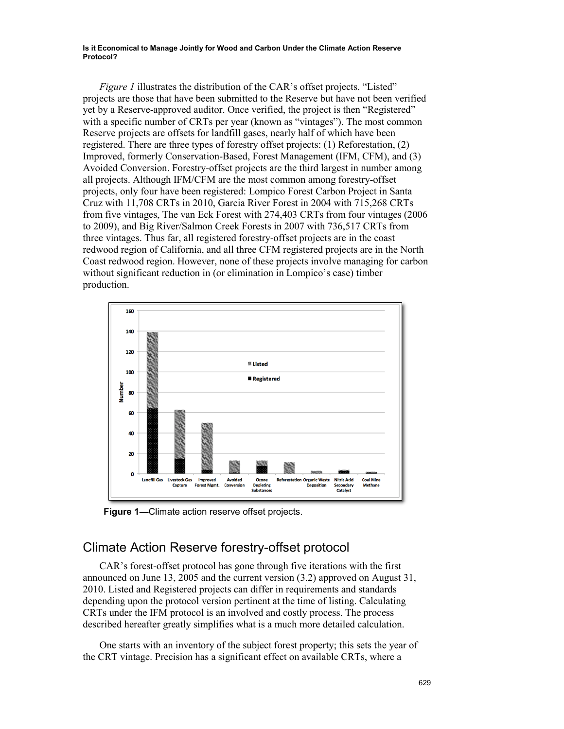*Figure 1* illustrates the distribution of the CAR's offset projects. "Listed" projects are those that have been submitted to the Reserve but have not been verified yet by a Reserve-approved auditor. Once verified, the project is then "Registered" with a specific number of CRTs per year (known as "vintages"). The most common Reserve projects are offsets for landfill gases, nearly half of which have been registered. There are three types of forestry offset projects: (1) Reforestation, (2) Improved, formerly Conservation-Based, Forest Management (IFM, CFM), and (3) Avoided Conversion. Forestry-offset projects are the third largest in number among all projects. Although IFM/CFM are the most common among forestry-offset projects, only four have been registered: Lompico Forest Carbon Project in Santa Cruz with 11,708 CRTs in 2010, Garcia River Forest in 2004 with 715,268 CRTs from five vintages, The van Eck Forest with 274,403 CRTs from four vintages (2006 to 2009), and Big River/Salmon Creek Forests in 2007 with 736,517 CRTs from three vintages. Thus far, all registered forestry-offset projects are in the coast redwood region of California, and all three CFM registered projects are in the North Coast redwood region. However, none of these projects involve managing for carbon without significant reduction in (or elimination in Lompico's case) timber production.



**Figure 1—**Climate action reserve offset projects.

#### Climate Action Reserve forestry-offset protocol

CAR's forest-offset protocol has gone through five iterations with the first announced on June 13, 2005 and the current version (3.2) approved on August 31, 2010. Listed and Registered projects can differ in requirements and standards depending upon the protocol version pertinent at the time of listing. Calculating CRTs under the IFM protocol is an involved and costly process. The process described hereafter greatly simplifies what is a much more detailed calculation.

One starts with an inventory of the subject forest property; this sets the year of the CRT vintage. Precision has a significant effect on available CRTs, where a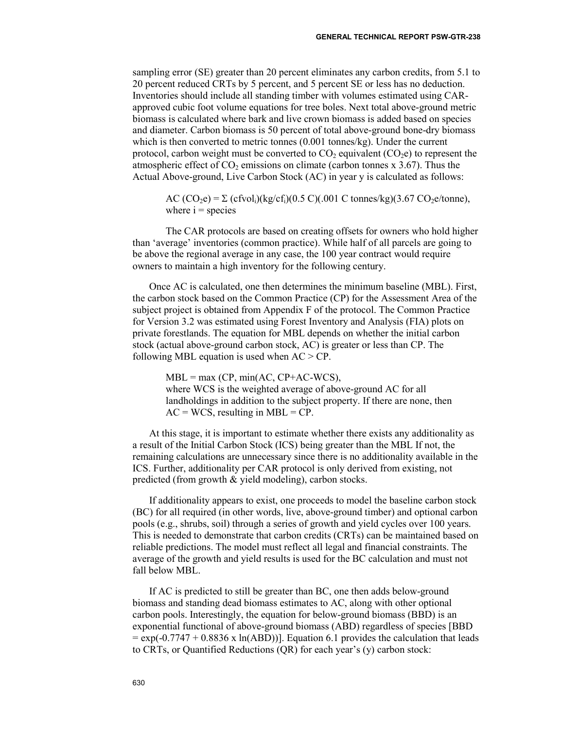sampling error (SE) greater than 20 percent eliminates any carbon credits, from 5.1 to 20 percent reduced CRTs by 5 percent, and 5 percent SE or less has no deduction. Inventories should include all standing timber with volumes estimated using CARapproved cubic foot volume equations for tree boles. Next total above-ground metric biomass is calculated where bark and live crown biomass is added based on species and diameter. Carbon biomass is 50 percent of total above-ground bone-dry biomass which is then converted to metric tonnes (0.001 tonnes/kg). Under the current protocol, carbon weight must be converted to  $CO<sub>2</sub>$  equivalent (CO<sub>2</sub>e) to represent the atmospheric effect of  $CO<sub>2</sub>$  emissions on climate (carbon tonnes x 3.67). Thus the Actual Above-ground, Live Carbon Stock (AC) in year y is calculated as follows:

AC  $(CO_2e) = \sum (c f vol_i)(kg/cf_i)(0.5 \text{ C})(.001 \text{ C} \text{ tonnes/kg})(3.67 \text{ CO}_2e/\text{tonne})$ , where  $i =$  species

The CAR protocols are based on creating offsets for owners who hold higher than 'average' inventories (common practice). While half of all parcels are going to be above the regional average in any case, the 100 year contract would require owners to maintain a high inventory for the following century.

Once AC is calculated, one then determines the minimum baseline (MBL). First, the carbon stock based on the Common Practice (CP) for the Assessment Area of the subject project is obtained from Appendix F of the protocol. The Common Practice for Version 3.2 was estimated using Forest Inventory and Analysis (FIA) plots on private forestlands. The equation for MBL depends on whether the initial carbon stock (actual above-ground carbon stock, AC) is greater or less than CP. The following MBL equation is used when  $AC > CP$ .

 $MBL = max (CP, min(AC, CP+AC-WCS)),$ where WCS is the weighted average of above-ground AC for all landholdings in addition to the subject property. If there are none, then  $AC = WCS$ , resulting in MBL =  $CP$ .

At this stage, it is important to estimate whether there exists any additionality as a result of the Initial Carbon Stock (ICS) being greater than the MBL If not, the remaining calculations are unnecessary since there is no additionality available in the ICS. Further, additionality per CAR protocol is only derived from existing, not predicted (from growth & yield modeling), carbon stocks.

If additionality appears to exist, one proceeds to model the baseline carbon stock (BC) for all required (in other words, live, above-ground timber) and optional carbon pools (e.g., shrubs, soil) through a series of growth and yield cycles over 100 years. This is needed to demonstrate that carbon credits (CRTs) can be maintained based on reliable predictions. The model must reflect all legal and financial constraints. The average of the growth and yield results is used for the BC calculation and must not fall below MBL.

If AC is predicted to still be greater than BC, one then adds below-ground biomass and standing dead biomass estimates to AC, along with other optional carbon pools. Interestingly, the equation for below-ground biomass (BBD) is an exponential functional of above-ground biomass (ABD) regardless of species [BBD  $=$  exp(-0.7747 + 0.8836 x ln(ABD))]. Equation 6.1 provides the calculation that leads to CRTs, or Quantified Reductions (QR) for each year's (y) carbon stock: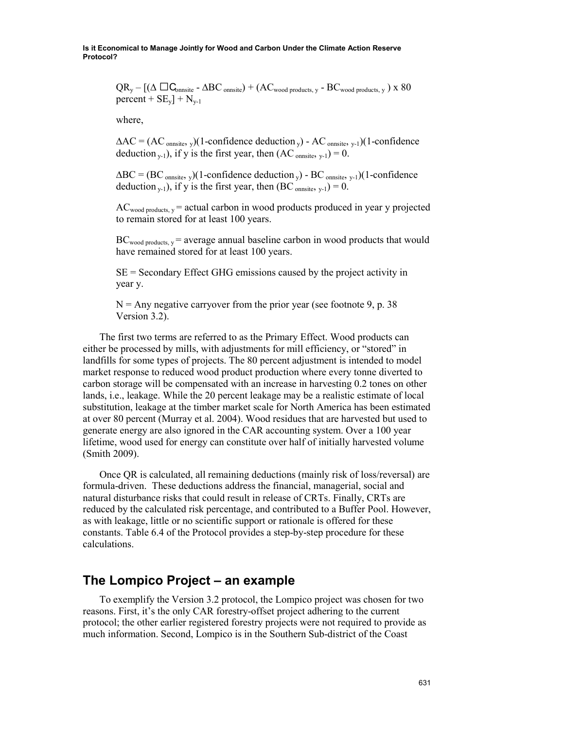> $QR_y - [(\Delta \Box C_{\text{onnsite}} - \Delta BC_{\text{onnsite}}) + (AC_{wood \text{ products}}, y - BC_{wood \text{ products}}, y) \times 80$ percent +  $SE_y$ ] +  $N_{y-1}$

where,

 $\Delta AC = (AC_{\text{onnsite}})$  (1-confidence deduction  $_{\rm v}$ ) - AC <sub>onnsite</sub>,  $_{\rm v-1}$ )(1-confidence deduction  $_{y-1}$ ), if y is the first year, then  $(AC_{\text{onsite}}, y-1) = 0$ .

 $\Delta BC = (BC_{\text{onsite}})$ ,  $(1$ -confidence deduction  $y$ ) - BC <sub>onnsite</sub>,  $y$ -1)(1-confidence deduction  $y-1$ , if y is the first year, then (BC <sub>onnsite, y-1</sub>) = 0.

 $AC_{wood\ products, y}$  = actual carbon in wood products produced in year y projected to remain stored for at least 100 years.

 $BC_{wood\ products, y}$  = average annual baseline carbon in wood products that would have remained stored for at least 100 years.

SE = Secondary Effect GHG emissions caused by the project activity in year y.

 $N =$  Any negative carryover from the prior year (see footnote 9, p. 38) Version 3.2).

The first two terms are referred to as the Primary Effect. Wood products can either be processed by mills, with adjustments for mill efficiency, or "stored" in landfills for some types of projects. The 80 percent adjustment is intended to model market response to reduced wood product production where every tonne diverted to carbon storage will be compensated with an increase in harvesting 0.2 tones on other lands, i.e., leakage. While the 20 percent leakage may be a realistic estimate of local substitution, leakage at the timber market scale for North America has been estimated at over 80 percent (Murray et al. 2004). Wood residues that are harvested but used to generate energy are also ignored in the CAR accounting system. Over a 100 year lifetime, wood used for energy can constitute over half of initially harvested volume (Smith 2009).

Once QR is calculated, all remaining deductions (mainly risk of loss/reversal) are formula-driven. These deductions address the financial, managerial, social and natural disturbance risks that could result in release of CRTs. Finally, CRTs are reduced by the calculated risk percentage, and contributed to a Buffer Pool. However, as with leakage, little or no scientific support or rationale is offered for these constants. Table 6.4 of the Protocol provides a step-by-step procedure for these calculations.

## **The Lompico Project – an example**

To exemplify the Version 3.2 protocol, the Lompico project was chosen for two reasons. First, it's the only CAR forestry-offset project adhering to the current protocol; the other earlier registered forestry projects were not required to provide as much information. Second, Lompico is in the Southern Sub-district of the Coast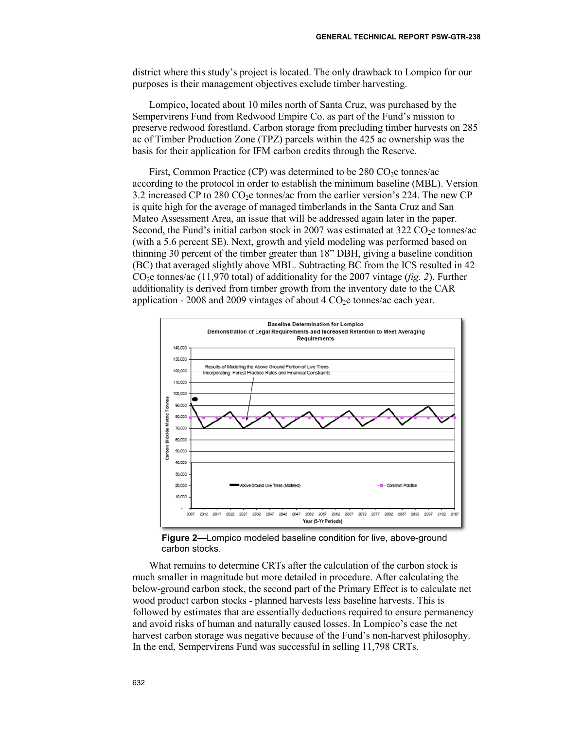district where this study's project is located. The only drawback to Lompico for our purposes is their management objectives exclude timber harvesting.

Lompico, located about 10 miles north of Santa Cruz, was purchased by the Sempervirens Fund from Redwood Empire Co. as part of the Fund's mission to preserve redwood forestland. Carbon storage from precluding timber harvests on 285 ac of Timber Production Zone (TPZ) parcels within the 425 ac ownership was the basis for their application for IFM carbon credits through the Reserve.

First, Common Practice (CP) was determined to be  $280 \text{ CO}_2$ e tonnes/ac according to the protocol in order to establish the minimum baseline (MBL). Version 3.2 increased CP to 280 CO<sub>2</sub>e tonnes/ac from the earlier version's 224. The new CP is quite high for the average of managed timberlands in the Santa Cruz and San Mateo Assessment Area, an issue that will be addressed again later in the paper. Second, the Fund's initial carbon stock in 2007 was estimated at  $322 \text{ CO}_2$ e tonnes/ac (with a 5.6 percent SE). Next, growth and yield modeling was performed based on thinning 30 percent of the timber greater than 18" DBH, giving a baseline condition (BC) that averaged slightly above MBL. Subtracting BC from the ICS resulted in 42 CO2e tonnes/ac (11,970 total) of additionality for the 2007 vintage (*fig. 2*). Further additionality is derived from timber growth from the inventory date to the CAR application - 2008 and 2009 vintages of about 4  $CO<sub>2</sub>e$  tonnes/ac each year.



**Figure 2—**Lompico modeled baseline condition for live, above-ground carbon stocks.

What remains to determine CRTs after the calculation of the carbon stock is much smaller in magnitude but more detailed in procedure. After calculating the below-ground carbon stock, the second part of the Primary Effect is to calculate net wood product carbon stocks - planned harvests less baseline harvests. This is followed by estimates that are essentially deductions required to ensure permanency and avoid risks of human and naturally caused losses. In Lompico's case the net harvest carbon storage was negative because of the Fund's non-harvest philosophy. In the end, Sempervirens Fund was successful in selling 11,798 CRTs.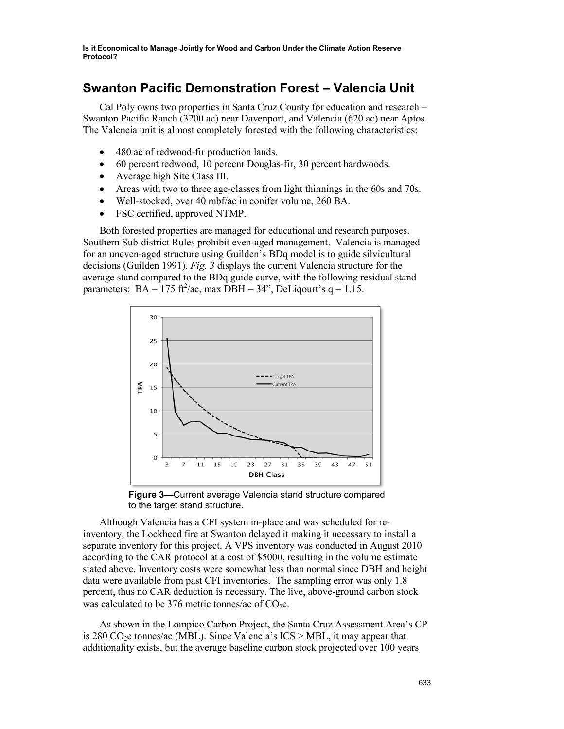# **Swanton Pacific Demonstration Forest – Valencia Unit**

Cal Poly owns two properties in Santa Cruz County for education and research – Swanton Pacific Ranch (3200 ac) near Davenport, and Valencia (620 ac) near Aptos. The Valencia unit is almost completely forested with the following characteristics:

- 480 ac of redwood-fir production lands.
- 60 percent redwood, 10 percent Douglas-fir, 30 percent hardwoods.
- Average high Site Class III.
- Areas with two to three age-classes from light thinnings in the 60s and 70s.
- Well-stocked, over 40 mbf/ac in conifer volume, 260 BA.
- FSC certified, approved NTMP.

Both forested properties are managed for educational and research purposes. Southern Sub-district Rules prohibit even-aged management. Valencia is managed for an uneven-aged structure using Guilden's BDq model is to guide silvicultural decisions (Guilden 1991). *Fig. 3* displays the current Valencia structure for the average stand compared to the BDq guide curve, with the following residual stand parameters:  $BA = 175$  ft<sup>2</sup>/ac, max DBH = 34", DeLiqourt's  $q = 1.15$ .



**Figure 3—**Current average Valencia stand structure compared to the target stand structure.

Although Valencia has a CFI system in-place and was scheduled for reinventory, the Lockheed fire at Swanton delayed it making it necessary to install a separate inventory for this project. A VPS inventory was conducted in August 2010 according to the CAR protocol at a cost of \$5000, resulting in the volume estimate stated above. Inventory costs were somewhat less than normal since DBH and height data were available from past CFI inventories. The sampling error was only 1.8 percent, thus no CAR deduction is necessary. The live, above-ground carbon stock was calculated to be 376 metric tonnes/ac of  $CO<sub>2</sub>e$ .

As shown in the Lompico Carbon Project, the Santa Cruz Assessment Area's CP is 280 CO<sub>2</sub>e tonnes/ac (MBL). Since Valencia's  $ICS > MBL$ , it may appear that additionality exists, but the average baseline carbon stock projected over 100 years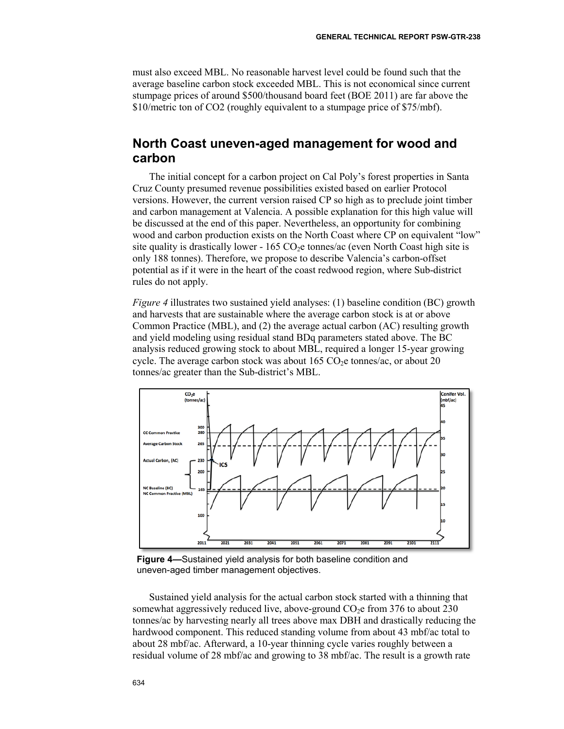must also exceed MBL. No reasonable harvest level could be found such that the average baseline carbon stock exceeded MBL. This is not economical since current stumpage prices of around \$500/thousand board feet (BOE 2011) are far above the \$10/metric ton of CO2 (roughly equivalent to a stumpage price of \$75/mbf).

## **North Coast uneven-aged management for wood and carbon**

The initial concept for a carbon project on Cal Poly's forest properties in Santa Cruz County presumed revenue possibilities existed based on earlier Protocol versions. However, the current version raised CP so high as to preclude joint timber and carbon management at Valencia. A possible explanation for this high value will be discussed at the end of this paper. Nevertheless, an opportunity for combining wood and carbon production exists on the North Coast where CP on equivalent "low" site quality is drastically lower -  $165 \text{ CO}_2$ e tonnes/ac (even North Coast high site is only 188 tonnes). Therefore, we propose to describe Valencia's carbon-offset potential as if it were in the heart of the coast redwood region, where Sub-district rules do not apply.

*Figure* 4 illustrates two sustained yield analyses: (1) baseline condition (BC) growth and harvests that are sustainable where the average carbon stock is at or above Common Practice (MBL), and (2) the average actual carbon (AC) resulting growth and yield modeling using residual stand BDq parameters stated above. The BC analysis reduced growing stock to about MBL, required a longer 15-year growing cycle. The average carbon stock was about  $165 \text{ CO}_2$ e tonnes/ac, or about 20 tonnes/ac greater than the Sub-district's MBL.



**Figure 4—**Sustained yield analysis for both baseline condition and uneven-aged timber management objectives.

Sustained yield analysis for the actual carbon stock started with a thinning that somewhat aggressively reduced live, above-ground  $CO<sub>2</sub>e$  from 376 to about 230 tonnes/ac by harvesting nearly all trees above max DBH and drastically reducing the hardwood component. This reduced standing volume from about 43 mbf/ac total to about 28 mbf/ac. Afterward, a 10-year thinning cycle varies roughly between a residual volume of 28 mbf/ac and growing to 38 mbf/ac. The result is a growth rate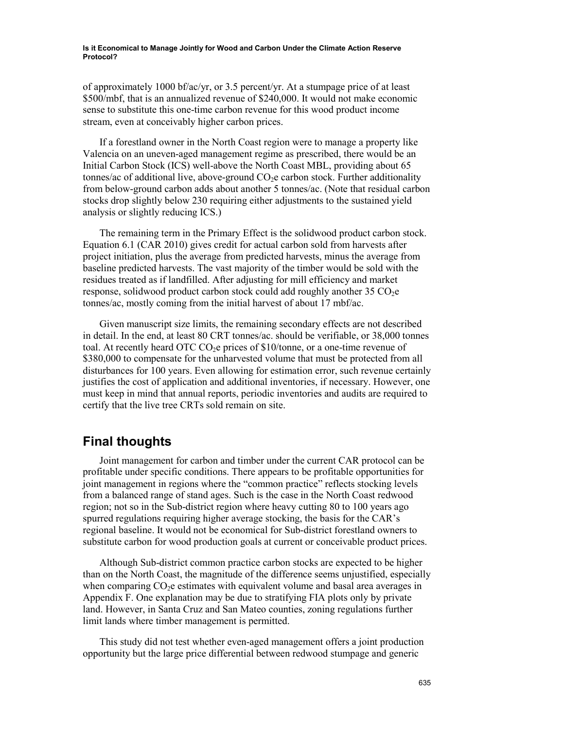of approximately 1000 bf/ac/yr, or 3.5 percent/yr. At a stumpage price of at least \$500/mbf, that is an annualized revenue of \$240,000. It would not make economic sense to substitute this one-time carbon revenue for this wood product income stream, even at conceivably higher carbon prices.

If a forestland owner in the North Coast region were to manage a property like Valencia on an uneven-aged management regime as prescribed, there would be an Initial Carbon Stock (ICS) well-above the North Coast MBL, providing about 65 tonnes/ac of additional live, above-ground  $CO<sub>2</sub>e$  carbon stock. Further additionality from below-ground carbon adds about another 5 tonnes/ac. (Note that residual carbon stocks drop slightly below 230 requiring either adjustments to the sustained yield analysis or slightly reducing ICS.)

The remaining term in the Primary Effect is the solidwood product carbon stock. Equation 6.1 (CAR 2010) gives credit for actual carbon sold from harvests after project initiation, plus the average from predicted harvests, minus the average from baseline predicted harvests. The vast majority of the timber would be sold with the residues treated as if landfilled. After adjusting for mill efficiency and market response, solidwood product carbon stock could add roughly another  $35 \text{ CO}_2$ e tonnes/ac, mostly coming from the initial harvest of about 17 mbf/ac.

Given manuscript size limits, the remaining secondary effects are not described in detail. In the end, at least 80 CRT tonnes/ac. should be verifiable, or 38,000 tonnes toal. At recently heard OTC CO<sub>2</sub>e prices of  $$10/tonne$ , or a one-time revenue of \$380,000 to compensate for the unharvested volume that must be protected from all disturbances for 100 years. Even allowing for estimation error, such revenue certainly justifies the cost of application and additional inventories, if necessary. However, one must keep in mind that annual reports, periodic inventories and audits are required to certify that the live tree CRTs sold remain on site.

#### **Final thoughts**

Joint management for carbon and timber under the current CAR protocol can be profitable under specific conditions. There appears to be profitable opportunities for joint management in regions where the "common practice" reflects stocking levels from a balanced range of stand ages. Such is the case in the North Coast redwood region; not so in the Sub-district region where heavy cutting 80 to 100 years ago spurred regulations requiring higher average stocking, the basis for the CAR's regional baseline. It would not be economical for Sub-district forestland owners to substitute carbon for wood production goals at current or conceivable product prices.

Although Sub-district common practice carbon stocks are expected to be higher than on the North Coast, the magnitude of the difference seems unjustified, especially when comparing  $CO<sub>2</sub>e$  estimates with equivalent volume and basal area averages in Appendix F. One explanation may be due to stratifying FIA plots only by private land. However, in Santa Cruz and San Mateo counties, zoning regulations further limit lands where timber management is permitted.

This study did not test whether even-aged management offers a joint production opportunity but the large price differential between redwood stumpage and generic